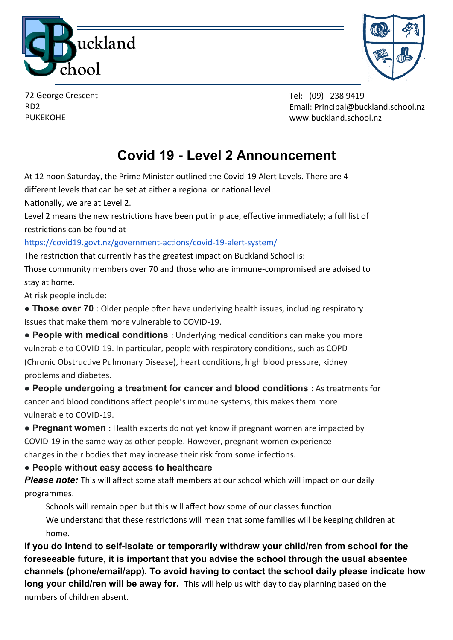



72 George Crescent RD2 PUKEKOHE

Tel: (09) 238 9419 Email: Principal@buckland.school.nz www.buckland.school.nz

## **Covid 19 - Level 2 Announcement**

At 12 noon Saturday, the Prime Minister outlined the Covid-19 Alert Levels. There are 4 different levels that can be set at either a regional or national level.

Nationally, we are at Level 2.

Level 2 means the new restrictions have been put in place, effective immediately; a full list of restrictions can be found at

https://covid19.govt.nz/government-actions/covid-19-alert-system/

The restriction that currently has the greatest impact on Buckland School is:

Those community members over 70 and those who are immune-compromised are advised to stay at home.

At risk people include:

● **Those over 70** : Older people often have underlying health issues, including respiratory issues that make them more vulnerable to COVID-19.

● **People with medical conditions** : Underlying medical conditions can make you more vulnerable to COVID-19. In particular, people with respiratory conditions, such as COPD (Chronic Obstructive Pulmonary Disease), heart conditions, high blood pressure, kidney problems and diabetes.

● **People undergoing a treatment for cancer and blood conditions** : As treatments for cancer and blood conditions affect people's immune systems, this makes them more vulnerable to COVID-19.

● **Pregnant women** : Health experts do not yet know if pregnant women are impacted by COVID-19 in the same way as other people. However, pregnant women experience changes in their bodies that may increase their risk from some infections.

**● People without easy access to healthcare**

*Please note:* This will affect some staff members at our school which will impact on our daily programmes.

Schools will remain open but this will affect how some of our classes function.

We understand that these restrictions will mean that some families will be keeping children at home.

**If you do intend to self-isolate or temporarily withdraw your child/ren from school for the foreseeable future, it is important that you advise the school through the usual absentee channels (phone/email/app). To avoid having to contact the school daily please indicate how long your child/ren will be away for.** This will help us with day to day planning based on the numbers of children absent.